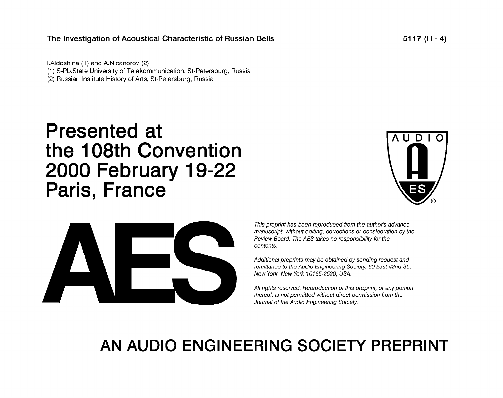### The Investigation of Acoustical Characteristic of Russian Bells

I.Aldoshina (1) and A.Nicanorov (2) (1) S-Pb.State University of Telekommunication, St-Petersburg, Russia (2) Russian Institute History of Arts, St-Petersburg, Russia

# Presented at the 108th Convention 2000 February 19-22 Paris, France





This preprint has been reproduced from the author's advance manuscript, without editing, corrections or consideration by the Review Board. The AES takes no responsibility for the contents.

Additional preprints may be obtained by sending request and remittance to the Audio Engineering Society, 60 East 42nd St., New York, New York 10165-2520, USA.

All rights reserved. Reproduction of this preprint, or any portion thereof, is not permitted without direct permission from the Journal of the Audio Engineering Society.

## AN AUDIO ENGINEERING SOCIETY PREPRINT

5117 (H -4)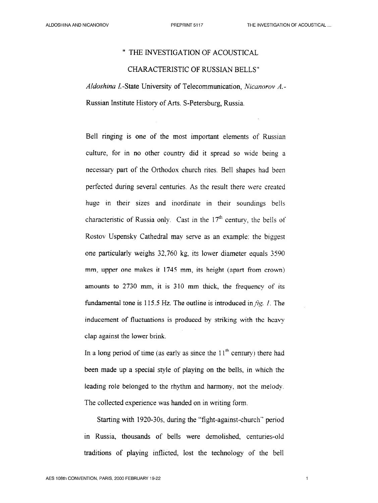#### " THE INVESTIGATION OF ACOUSTICAL

#### CHARACTERISTIC OF RUSSIAN BELLS"

Aldoshina I.-State University of Telecommunication, Nicanorov A.-Russian Institute History of Arts. S-Petersburg, Russia.

Bell ringing is one of the most important elements of Russian culture, for in no other country did it spread so wide being a necessary part of the Orthodox church rites. Bell shapes had been perfected during several centuries. As the result there were created huge in their sizes and inordinate in their soundings bells characteristic of Russia only. Cast in the  $17<sup>th</sup>$  century, the bells of Rostov Uspensky Cathedral may serve as an example: the biggest one particularly weighs 32,760 kg, its lower diameter equals 3590 mm, upper one makes it 1745 mm, its height (apart from crown) amounts to 2730 mm, it is 310 mm thick, the frequency of its fundamental tone is 115.5 Hz. The outline is introduced in  $\hat{H}g$ . I. The inducement of fluctuations is produced by striking with the heavy clap against the lower brink.

In a long period of time (as early as since the  $11<sup>th</sup>$  century) there had been made up a special style of playing on the bells, in which the leading role belonged to the rhythm and harmony, not the melody. The collected experience was handed on in writing form.

Starting with 1920-30s, during the "fight-against-church" period in Russia, thousands of bells were demolished, centuries-old traditions of playing inflicted, lost the technology of the beil

 $\overline{1}$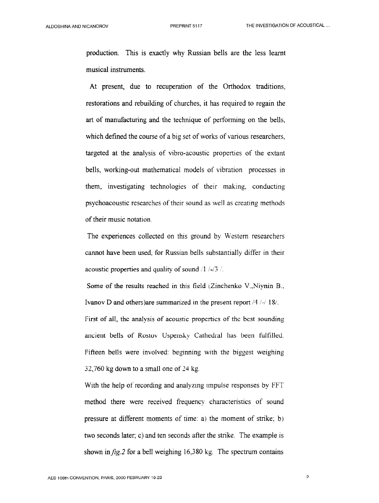production. This is exactly why Russian bells are the less learnt musical instruments.

At present, due to recuperation of the Orthodox traditions, restorations and rebuilding of churches, it has required to regain the art of manufacturing and the technique of performing on the bells, which defined the course of a big set of works of various researchers, targeted at the analysis of vibro-acoustic properties of the extant bells, working-out mathematical models of vibration processes in them, investigating technologies of their making, conducting psychoacoustic researches of their sound as well as creating methods of their music notation.

The experiences collected on this ground by Western researchers cannot have been used, for Russian bells substantially differ in their acoustic properties and quality of sound  $/1$  /-/3  $/$ .

Some of the results reached in this field (Zinchenko V.,Niynin B., Ivanov D and others) are summarized in the present report  $/4$  /-/ 18/. First of all, the analysis of acoustic properties of the best sounding ancient bells of Rostov Uspensky Cathedral has been fulfilled. Fifteen bells were involved: beginning with the biggest weighing 32,760 kg down to a small one of 24 kg.

With the help of recording and analyzing impulse responses by FFT method there were received frequency characteristics of sound pressure at different moments of time: a) the moment of strike; b) two seconds later; c) and ten seconds after the strike. The example is shown in  $fig.2$  for a bell weighing 16,380 kg. The spectrum contains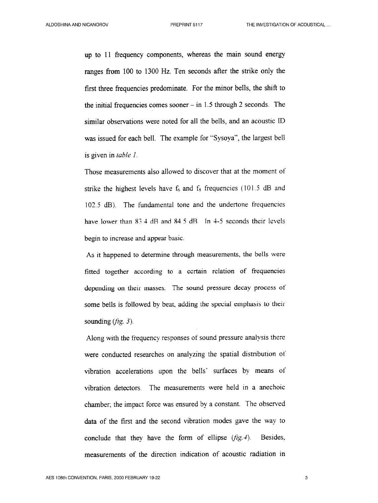up to 11 frequency components, whereas the main sound energy ranges from 100 to 1300 Hz. Ten seconds after the strike only the first three frequencies predominate. For the minor bells, the shift to the initial frequencies comes sooner  $-$  in 1.5 through 2 seconds. The similar observations were noted for all the bells, and an acoustic ID was issued for each bell. The example for "Sysoya", the largest bell is given in table I.

Those measurements also allowed to discover that at the moment of strike the highest levels have  $f<sub>6</sub>$  and  $f<sub>8</sub>$  frequencies (101.5 dB and 102.5 dB). The fundamental tone and the undertone frequencies have lower than 83.4 dB and 84.5 dB. In 4-5 seconds their levels begin to increase and appear basic.

As it happened to determine through measurements, the bells were fitted together according to a certain relation of frequencies depending on their masses. The sound pressure decay process of some bells is followed by beat, adding the special emphasis to their sounding  $(\hat{H}g. 3)$ .

Along with the frequency responses of sound pressure analysis there were conducted researches on analyzing the spatial distribution of vibration accelerations upon the bells' surfaces by means of vibration detectors. The measurements were held in a anechoic chamber; the impact force was ensured by a constant. The observed data of the first and the second vibration modes gave the way to conclude that they have the form of ellipse  $(fig.4)$ . Besides, measurements of the direction indication of acoustic radiation in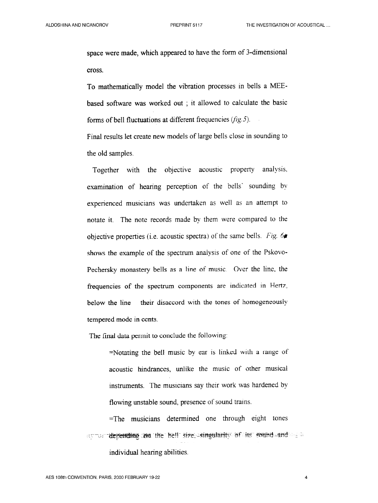space were made, which appeared to have the form of 3-dimensional cross.

To mathematically model the vibration processes in bells a MEEbased software was worked out ; it allowed to calculate the basic forms of bell fluctuations at different frequencies  $(fig. 5)$ .

Final results let create new models of large bells close in sounding to the old samples.

Together with the objective acoustic property analysis. examination of hearing perception of the bells' sounding by experienced musicians was undertaken as well as an attempt to notate it. The note records made by them were compared to the objective properties (i.e. acoustic spectra) of the same bells. Fig.  $6\bullet$ shows the example of the spectrum analysis of one of the Pskovo-Pechersky monastery bells as a line of music. Over the line, the frequencies of the spectrum components are indicated in Hertz, below the line – their disaccord with the tones of homogeneously tempered mode in cents.

The final data permit to conclude the following:

=Notating the bell music by ear is linked with a range of acoustic hindrances, unlike the music of other musical instruments. The musicians say their work was hardened by flowing unstable sound, presence of sound trains.

=The musicians determined one through eight tones ~. =---- ;-- ~. --&qj@@&+g -y& -t& &cfj- gte; ...#fJ3&-\*~- \$ft;f & Gg=ifjf?~ .-ge\$ \_ : individual hearing abilities.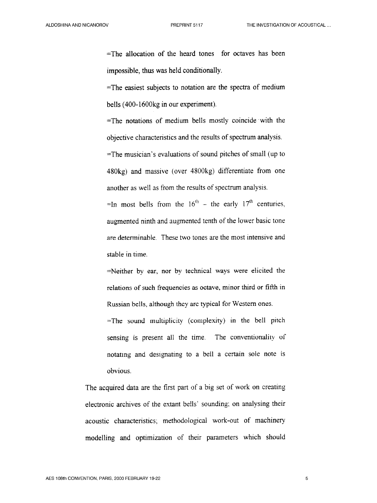=The allocation of the heard tones for octaves has been impossible, thus was held conditionally.

=The easiest subjects to notation are the spectra of medium bells (400-1600kg in our experiment).

=The notations of medium bells mostly coincide with the objective characteristics and the results of spectrum analysis.

=The musician's evaluations of sound pitches of small (up to 480kg) and massive (over 4800kg) differentiate from one another as well as from the results of spectrum analysis.

=In most bells from the  $16<sup>th</sup>$  - the early  $17<sup>th</sup>$  centuries, augmented ninth and augmented tenth of the lower basic tone are determinable. These two tones are the most intensive and stable in time.

=Neither by ear, nor by technical ways were elicited the relations of such frequencies as octave, minor third or fifth in Russian bells, although they are typical for Western ones.

=The sound multiplicity (complexity) in the bell pitch sensing is present all the time. The conventionality of notating and designating to a bell a certain sole note is obvious.

The acquired data are the first part of a big set of work on creating electronic archives of the extant be!ls' sounding; on analysing their acoustic characteristics; methodological work-out of machinery modelling and optimization of their parameters which should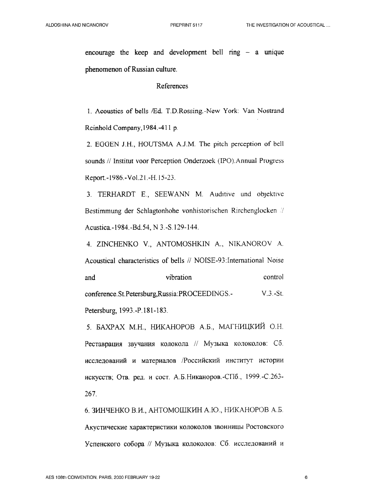encourage the keep and development bell ring  $-$  a unique phenomenon of Russian culture.

#### References

1. Acoustics of bells /Ed. T.D.Rossing.-New York: Van Nostrand Reinhold Company, 1984. - 411 p.

2. EGGEN J.H., HOUTSMA A.J.M. The pitch perception of bell sounds // Institut voor Perception Onderzoek (IPO). Annual Progress Report.-1986.-Vol.21.-H.15-23.

3. TERHARDT E., SEEWANN M. Auditive und objektive Bestimmung der Schlagtonhohe vonhistorischen Rirchenglocken // Acustica.-1984.-Bd.54, N 3.-S.129-144.

4. ZINCHENKO V., ANTOMOSHKIN A., NIKANOROV A. Acoustical characteristics of bells // NOISE-93: International Noise control and vibration conference.St.Petersburg,Russia:PROCEEDINGS.- $V.3.-St.$ Petersburg, 1993.-P.181-183.

5. БАХРАХ М.Н., НИКАНОРОВ А.Б., МАГНИЦКИЙ О.Н. Реставрация звучания колокола // Музыка колоколов: Сб. исследований и материалов /Российский институт истории искусств; Отв. ред. и сост. А.Б.Никаноров.-СПб., 1999.-С.263-267.

6. ЗИНЧЕНКО В.И., АНТОМОШКИН А.Ю., НИКАНОРОВ А.Б. Акустические характеристики колоколов звонницы Ростовского Успенского собора // Музыка колоколов: Сб. исследований и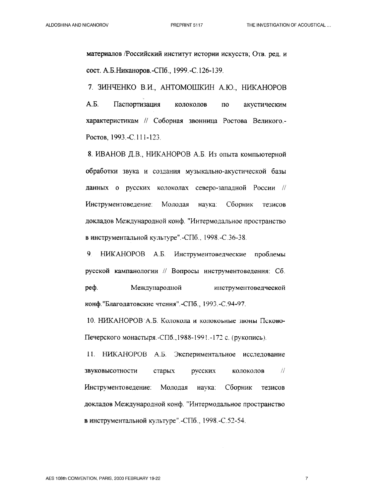материалов /Российский институт истории искусств; Отв. ред. и сост. А.Б.Никаноров.-СПб., 1999.-С.126-139.

7. ЗИНЧЕНКО В.И., АНТОМОШКИН А.Ю., НИКАНОРОВ  $A.E.$ Паспортизация колоколов  $\overline{10}$ акустическим характеристикам // Соборная звонница Ростова Великого.-Ростов, 1993.-С.111-123.

8. ИВАНОВ Д.В., НИКАНОРОВ А.Б. Из опыта компьютерной обработки звука и создания музыкально-акустической базы данных о русских колоколах северо-западной России // Инструментоведение: Молодая наука: Сборник тезисов докладов Международной конф. "Интермодальное пространство в инструментальной культуре".-СПб., 1998.-С.36-38.

9 HUKAHOPOB A.B. Инструментоведческие проблемы русской кампанологии // Вопросы инструментоведения: Сб. реф. Международной инструментоведческой конф. "Благодатовские чтения". -СПб., 1993. -С.94-97.

10. НИКАНОРОВ А.Б. Колокола и колокоьные звоны Псково-Печерского монастыря -СПб., 1988-1991. - 172 с. (рукопись).

11. НИКАНОРОВ А.Б. Экспериментальное исследование звуковысотности  $\frac{1}{2}$ старых русских колоколов Инструментоведение: Молодая наука: Сборник тезисов докладов Международной конф. "Интермодальное пространство в инструментальной культуре".-СПб., 1998.-С.52-54.

 $\overline{7}$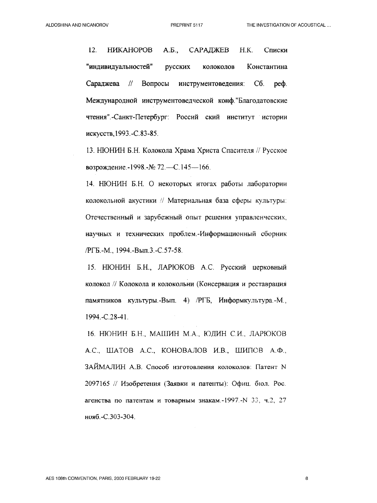12. **HIKAHOPOB**  $A.E.,$ САРАДЖЕВ  $H.K.$ Списки "индивидуальностей" русских Константина колоколов Сараджева  $\frac{1}{2}$ Вопросы инструментоведения:  $C6.$  $pe\ddot{\theta}$ . Международной инструментоведческой конф. "Благодатовские чтения". -Санкт-Петербург: Россий ский институт истории искусств, 1993. - С.83-85.

13. НЮНИН Б.Н. Колокола Храма Христа Спасителя // Русское возрождение. - 1998. - № 72. - С. 145 - 166.

14. НЮНИН Б.Н. О некоторых итогах работы лаборатории колокольной акустики // Материальная база сферы культуры: Отечественный и зарубежный опыт решения управленческих, научных и технических проблем.-Информационный сборник /РГБ.-М., 1994.-Вып.3.-С.57-58.

15. НЮНИН Б.Н., ЛАРЮКОВ А.С. Русский церковный колокол // Колокола и колокольни (Консервация и реставрация памятников культуры.-Вып. 4) /РГБ, Информкультура.-М., 1994.-C.28-41.

16. НЮНИН Б.Н., МАШИН М.А., ЮДИН С.И., ЛАРЮКОВ А.С., ШАТОВ А.С., КОНОВАЛОВ И.В., ШИПОВ А.Ф., ЗАЙМАЛИН А.В. Способ изготовления колоколов: Патент N 2097165 // Изобретения (Заявки и патенты): Офиц. бюл. Рос. агенства по патентам и товарным знакам.-1997.-N 33, ч.2, 27 нояб.-С.303-304.

8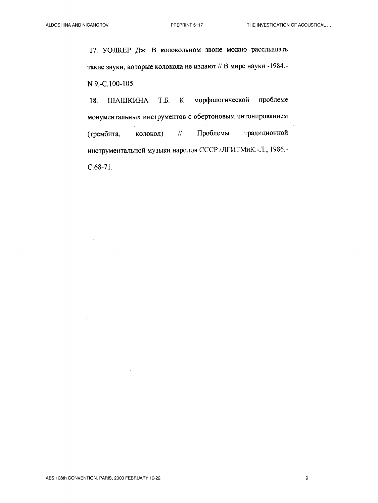$\sqrt{1-\epsilon}$ 

17. УОЛКЕР Дж. В колокольном звоне можно расслышать такие звуки, которые колокола не издают // В мире науки.-1984.-N 9.-C.100-105.

ШАШКИНА Т.Б.  $K$ морфологической проблеме 18. монументальных инструментов с обертоновым интонированием Проблемы традиционной колокол)  $\mathcal{H}$ (трембита, инструментальной музыки народов СССР /ЛГИТМиК.-Л., 1986.- $C.68-71.$ 

a na

 $\mathsf{9}$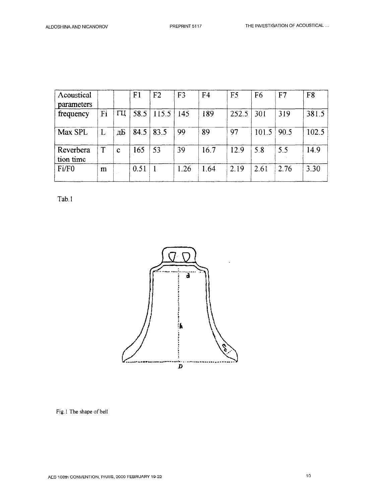| Acoustical<br>parameters |    |    | F <sub>1</sub> | F <sub>2</sub> | F <sub>3</sub> | F <sub>4</sub> | F <sub>5</sub> | F <sub>6</sub> | F <sub>7</sub> | F <sub>8</sub> |
|--------------------------|----|----|----------------|----------------|----------------|----------------|----------------|----------------|----------------|----------------|
| frequency                | Fi | ПЦ | 58.5           | 115.5          | 145            | 189            | 252.5          | 301            | 319            | 381.5          |
| Max SPL                  |    | дБ | 84.5           | 83.5           | 99             | 89             | 97             | 101.5          | 90.5           | 102.5          |
| Reverbera<br>tion time   |    | C  | 165            | 53             | 39             | 16.7           | 12.9           | 5.8            | 5.5            | 14.9           |
| Fi/F <sub>0</sub>        | m  |    | 0.51           |                | 1.26           | 1.64           | 2.19           | 2.61           | 2.76           | 3.30           |

Tab. 1



Fig. 1 The shape of bell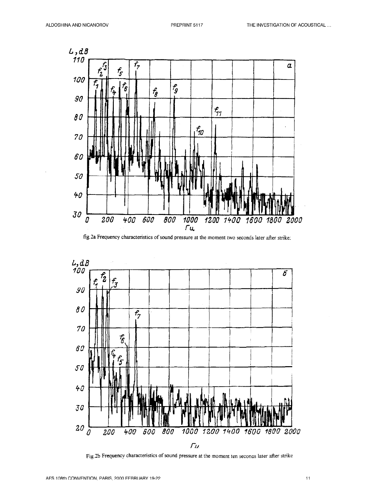





Fig.2b Frequency characteristics of sound pressure at the moment ten seconds later after strike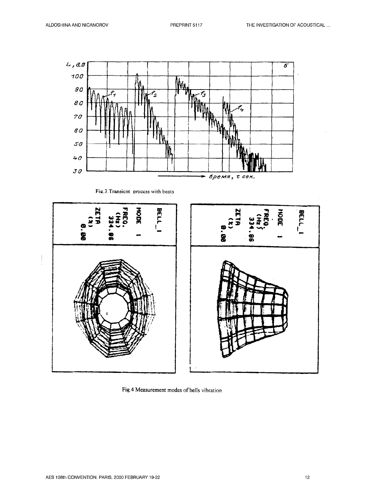

Fig.3. Transient process with beats



Fig.4 Measurement modes of bells vibration